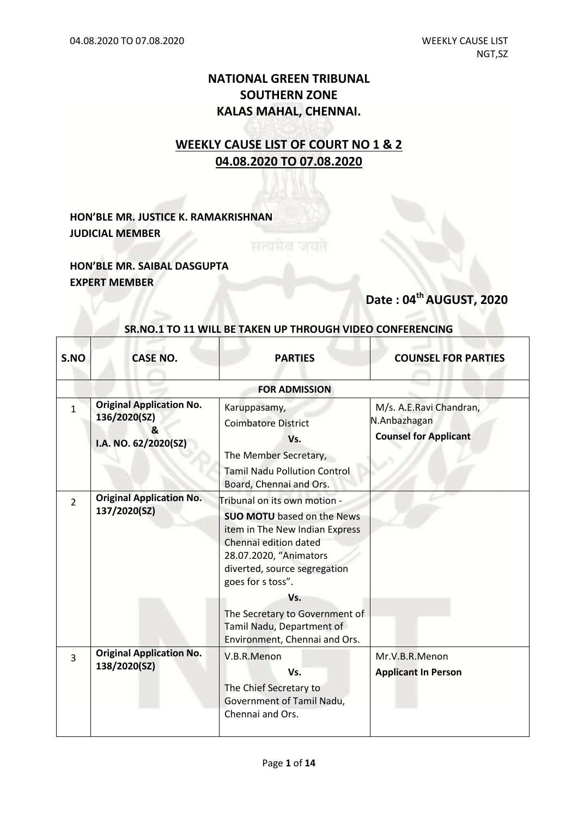### **NATIONAL GREEN TRIBUNAL SOUTHERN ZONE KALAS MAHAL, CHENNAI.**

## **WEEKLY CAUSE LIST OF COURT NO 1 & 2 04.08.2020 TO 07.08.2020**

**HON'BLE MR. JUSTICE K. RAMAKRISHNAN JUDICIAL MEMBER**

**HON'BLE MR. SAIBAL DASGUPTA EXPERT MEMBER**

## **Date : 04th AUGUST, 2020**

| S.NO          | <b>CASE NO.</b>                                                               | <b>PARTIES</b>                                                                                                                                                                                              | <b>COUNSEL FOR PARTIES</b>                                              |
|---------------|-------------------------------------------------------------------------------|-------------------------------------------------------------------------------------------------------------------------------------------------------------------------------------------------------------|-------------------------------------------------------------------------|
|               |                                                                               | <b>FOR ADMISSION</b>                                                                                                                                                                                        |                                                                         |
| $\mathbf{1}$  | <b>Original Application No.</b><br>136/2020(SZ)<br>x,<br>I.A. NO. 62/2020(SZ) | Karuppasamy,<br><b>Coimbatore District</b><br>Vs.<br>The Member Secretary,<br><b>Tamil Nadu Pollution Control</b><br>Board, Chennai and Ors.                                                                | M/s. A.E.Ravi Chandran,<br>N.Anbazhagan<br><b>Counsel for Applicant</b> |
| $\mathcal{P}$ | <b>Original Application No.</b><br>137/2020(SZ)                               | Tribunal on its own motion -<br><b>SUO MOTU</b> based on the News<br>item in The New Indian Express<br>Chennai edition dated<br>28.07.2020, "Animators<br>diverted, source segregation<br>goes for s toss". |                                                                         |
|               |                                                                               | Vs.                                                                                                                                                                                                         |                                                                         |
|               |                                                                               | The Secretary to Government of<br>Tamil Nadu, Department of<br>Environment, Chennai and Ors.                                                                                                                |                                                                         |
| 3             | <b>Original Application No.</b><br>138/2020(SZ)                               | V.B.R.Menon                                                                                                                                                                                                 | Mr.V.B.R.Menon                                                          |
|               |                                                                               | Vs.<br>The Chief Secretary to<br>Government of Tamil Nadu,<br>Chennai and Ors.                                                                                                                              | <b>Applicant In Person</b>                                              |

#### **SR.NO.1 TO 11 WILL BE TAKEN UP THROUGH VIDEO CONFERENCING**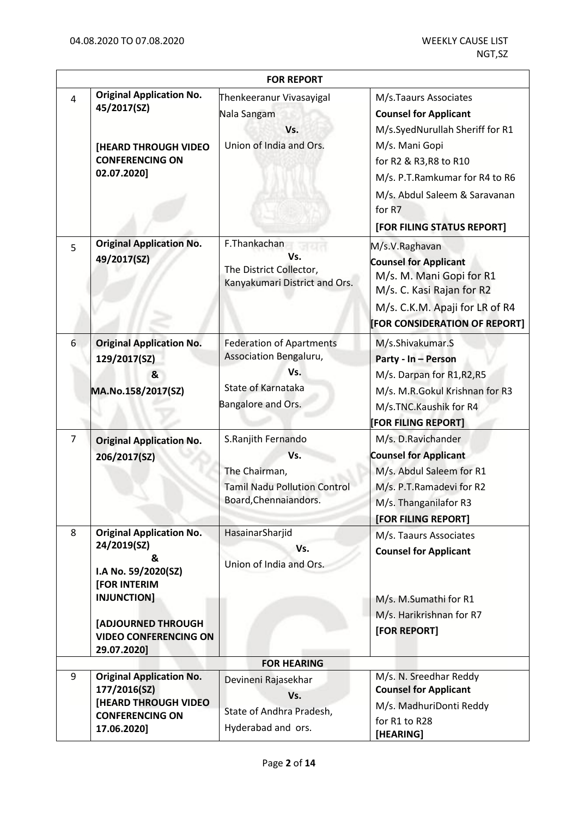|                |                                                                                                                                                                                | <b>FOR REPORT</b>                                                                                            |                                                                                                                                                                                                                   |
|----------------|--------------------------------------------------------------------------------------------------------------------------------------------------------------------------------|--------------------------------------------------------------------------------------------------------------|-------------------------------------------------------------------------------------------------------------------------------------------------------------------------------------------------------------------|
| $\overline{4}$ | <b>Original Application No.</b><br>45/2017(SZ)<br>[HEARD THROUGH VIDEO<br><b>CONFERENCING ON</b><br>02.07.2020]                                                                | Thenkeeranur Vivasayigal<br>Nala Sangam<br>Vs.<br>Union of India and Ors.                                    | M/s.Taaurs Associates<br><b>Counsel for Applicant</b><br>M/s.SyedNurullah Sheriff for R1<br>M/s. Mani Gopi<br>for R2 & R3, R8 to R10<br>M/s. P.T.Ramkumar for R4 to R6<br>M/s. Abdul Saleem & Saravanan<br>for R7 |
|                |                                                                                                                                                                                |                                                                                                              | [FOR FILING STATUS REPORT]                                                                                                                                                                                        |
| 5              | <b>Original Application No.</b><br>49/2017(SZ)                                                                                                                                 | F.Thankachan<br>Vs.<br>The District Collector,<br>Kanyakumari District and Ors.                              | M/s.V.Raghavan<br><b>Counsel for Applicant</b><br>M/s. M. Mani Gopi for R1<br>M/s. C. Kasi Rajan for R2<br>M/s. C.K.M. Apaji for LR of R4<br>[FOR CONSIDERATION OF REPORT]                                        |
| 6              | <b>Original Application No.</b><br>129/2017(SZ)<br>&<br>MA.No.158/2017(SZ)                                                                                                     | <b>Federation of Apartments</b><br>Association Bengaluru,<br>Vs.<br>State of Karnataka<br>Bangalore and Ors. | M/s.Shivakumar.S<br>Party - In - Person<br>M/s. Darpan for R1, R2, R5<br>M/s. M.R.Gokul Krishnan for R3<br>M/s.TNC.Kaushik for R4                                                                                 |
|                |                                                                                                                                                                                |                                                                                                              | [FOR FILING REPORT]                                                                                                                                                                                               |
| $\overline{7}$ | <b>Original Application No.</b><br>206/2017(SZ)                                                                                                                                | S.Ranjith Fernando<br>Vs.<br>The Chairman,<br><b>Tamil Nadu Pollution Control</b><br>Board, Chennaiandors.   | M/s. D.Ravichander<br><b>Counsel for Applicant</b><br>M/s. Abdul Saleem for R1<br>M/s. P.T.Ramadevi for R2<br>M/s. Thanganilafor R3<br>[FOR FILING REPORT]                                                        |
| 8              | <b>Original Application No.</b><br>24/2019(SZ)<br>&<br>I.A No. 59/2020(SZ)<br>[FOR INTERIM<br>INJUNCTION]<br>[ADJOURNED THROUGH<br><b>VIDEO CONFERENCING ON</b><br>29.07.2020] | HasainarSharjid<br>Vs.<br>Union of India and Ors.                                                            | M/s. Taaurs Associates<br><b>Counsel for Applicant</b><br>M/s. M.Sumathi for R1<br>M/s. Harikrishnan for R7<br>[FOR REPORT]                                                                                       |
|                |                                                                                                                                                                                | <b>FOR HEARING</b>                                                                                           |                                                                                                                                                                                                                   |
| 9              | <b>Original Application No.</b><br>177/2016(SZ)<br><b>[HEARD THROUGH VIDEO</b><br><b>CONFERENCING ON</b><br>17.06.2020]                                                        | Devineni Rajasekhar<br>Vs.<br>State of Andhra Pradesh,<br>Hyderabad and ors.                                 | M/s. N. Sreedhar Reddy<br><b>Counsel for Applicant</b><br>M/s. MadhuriDonti Reddy<br>for R1 to R28<br>[HEARING]                                                                                                   |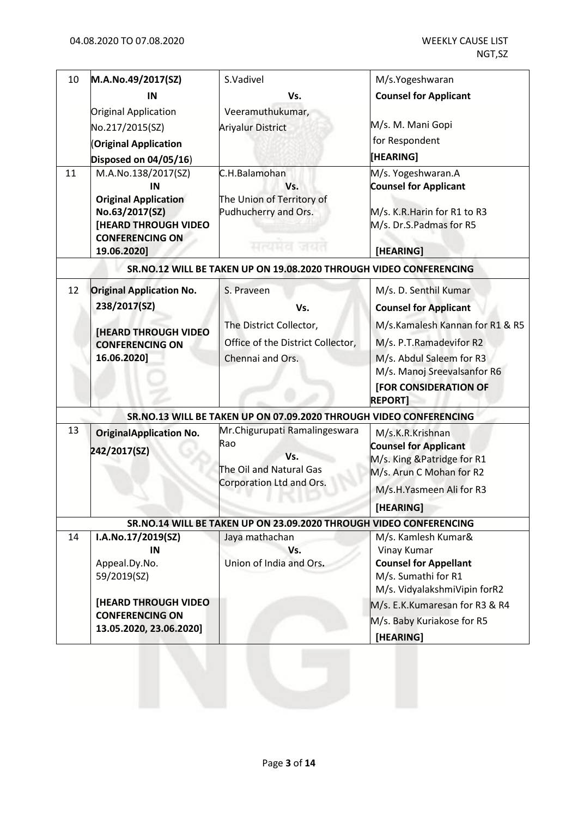| 10 | M.A.No.49/2017(SZ)                                                                                                           | S.Vadivel                                                                                          | M/s.Yogeshwaran                                                                                                                                      |
|----|------------------------------------------------------------------------------------------------------------------------------|----------------------------------------------------------------------------------------------------|------------------------------------------------------------------------------------------------------------------------------------------------------|
|    | IN                                                                                                                           | Vs.                                                                                                | <b>Counsel for Applicant</b>                                                                                                                         |
|    | Original Application                                                                                                         | Veeramuthukumar,                                                                                   |                                                                                                                                                      |
|    | No.217/2015(SZ)                                                                                                              | <b>Ariyalur District</b>                                                                           | M/s. M. Mani Gopi                                                                                                                                    |
|    | <b>Original Application</b>                                                                                                  |                                                                                                    | for Respondent                                                                                                                                       |
|    | Disposed on 04/05/16)                                                                                                        |                                                                                                    | [HEARING]                                                                                                                                            |
| 11 | M.A.No.138/2017(SZ)<br>IN<br><b>Original Application</b><br>No.63/2017(SZ)<br>[HEARD THROUGH VIDEO<br><b>CONFERENCING ON</b> | C.H.Balamohan<br>Vs.<br>The Union of Territory of<br>Pudhucherry and Ors.<br>सत्यमय जयर            | M/s. Yogeshwaran.A<br><b>Counsel for Applicant</b><br>M/s. K.R. Harin for R1 to R3<br>M/s. Dr.S.Padmas for R5                                        |
|    | 19.06.2020]                                                                                                                  |                                                                                                    | [HEARING]                                                                                                                                            |
|    |                                                                                                                              | SR.NO.12 WILL BE TAKEN UP ON 19.08.2020 THROUGH VIDEO CONFERENCING                                 |                                                                                                                                                      |
| 12 | <b>Original Application No.</b>                                                                                              | S. Praveen                                                                                         | M/s. D. Senthil Kumar                                                                                                                                |
|    | 238/2017(SZ)                                                                                                                 | Vs.                                                                                                | <b>Counsel for Applicant</b>                                                                                                                         |
|    | <b>[HEARD THROUGH VIDEO</b>                                                                                                  | The District Collector,                                                                            | M/s.Kamalesh Kannan for R1 & R5                                                                                                                      |
|    | <b>CONFERENCING ON</b>                                                                                                       | Office of the District Collector,                                                                  | M/s. P.T.Ramadevifor R2                                                                                                                              |
|    | 16.06.2020]                                                                                                                  | Chennai and Ors.                                                                                   | M/s. Abdul Saleem for R3<br>M/s. Manoj Sreevalsanfor R6<br>[FOR CONSIDERATION OF<br><b>REPORT]</b>                                                   |
|    |                                                                                                                              | SR.NO.13 WILL BE TAKEN UP ON 07.09.2020 THROUGH VIDEO CONFERENCING                                 |                                                                                                                                                      |
| 13 | <b>OriginalApplication No.</b><br>242/2017(SZ)                                                                               | Mr.Chigurupati Ramalingeswara<br>Rao<br>Vs.<br>The Oil and Natural Gas<br>Corporation Ltd and Ors. | M/s.K.R.Krishnan<br><b>Counsel for Applicant</b><br>M/s. King & Patridge for R1<br>M/s. Arun C Mohan for R2<br>M/s.H.Yasmeen Ali for R3<br>[HEARING] |
|    |                                                                                                                              | SR.NO.14 WILL BE TAKEN UP ON 23.09.2020 THROUGH VIDEO CONFERENCING                                 |                                                                                                                                                      |
| 14 | I.A.No.17/2019(SZ)<br>IN<br>Appeal.Dy.No.                                                                                    | Jaya mathachan<br>Vs.<br>Union of India and Ors.                                                   | M/s. Kamlesh Kumar&<br>Vinay Kumar<br><b>Counsel for Appellant</b>                                                                                   |
|    | 59/2019(SZ)                                                                                                                  |                                                                                                    | M/s. Sumathi for R1<br>M/s. VidyalakshmiVipin forR2                                                                                                  |
|    | <b>[HEARD THROUGH VIDEO</b><br><b>CONFERENCING ON</b><br>13.05.2020, 23.06.2020]                                             |                                                                                                    | M/s. E.K.Kumaresan for R3 & R4<br>M/s. Baby Kuriakose for R5<br>[HEARING]                                                                            |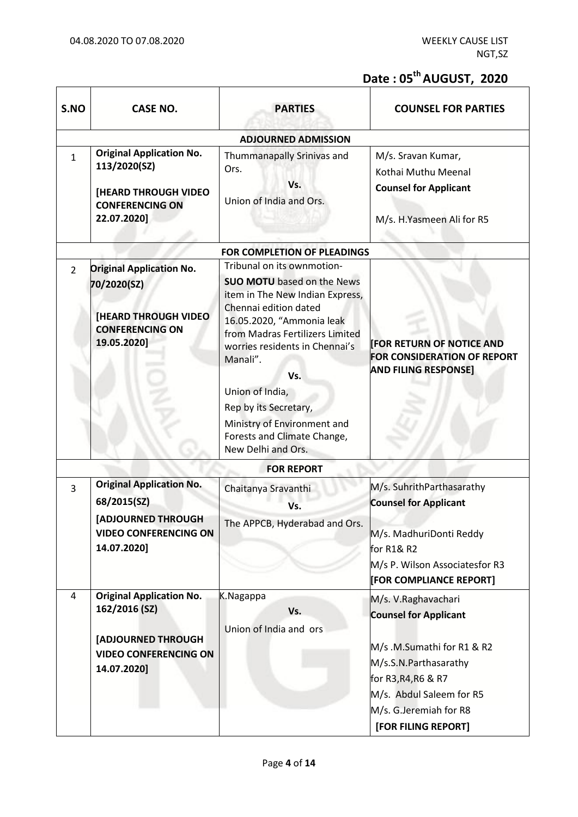## **Date : 05th AUGUST, 2020**

| S.NO           | <b>CASE NO.</b>                                                                                                              | <b>PARTIES</b>                                                                                                                                                                                                                                                                                                                                                                   | <b>COUNSEL FOR PARTIES</b>                                                                                                                                                                                     |
|----------------|------------------------------------------------------------------------------------------------------------------------------|----------------------------------------------------------------------------------------------------------------------------------------------------------------------------------------------------------------------------------------------------------------------------------------------------------------------------------------------------------------------------------|----------------------------------------------------------------------------------------------------------------------------------------------------------------------------------------------------------------|
|                |                                                                                                                              | <b>ADJOURNED ADMISSION</b>                                                                                                                                                                                                                                                                                                                                                       |                                                                                                                                                                                                                |
| $\mathbf{1}$   | <b>Original Application No.</b><br>113/2020(SZ)<br>[HEARD THROUGH VIDEO<br><b>CONFERENCING ON</b><br>22.07.2020]             | Thummanapally Srinivas and<br>Ors.<br>Vs.<br>Union of India and Ors.                                                                                                                                                                                                                                                                                                             | M/s. Sravan Kumar,<br>Kothai Muthu Meenal<br><b>Counsel for Applicant</b><br>M/s. H.Yasmeen Ali for R5                                                                                                         |
|                |                                                                                                                              | FOR COMPLETION OF PLEADINGS                                                                                                                                                                                                                                                                                                                                                      |                                                                                                                                                                                                                |
| $\overline{2}$ | <b>Original Application No.</b><br>70/2020(SZ)<br><b>[HEARD THROUGH VIDEO</b><br><b>CONFERENCING ON</b><br>19.05.2020]       | Tribunal on its ownmotion-<br><b>SUO MOTU</b> based on the News<br>item in The New Indian Express,<br>Chennai edition dated<br>16.05.2020, "Ammonia leak<br>from Madras Fertilizers Limited<br>worries residents in Chennai's<br>Manali".<br>Vs.<br>Union of India,<br>Rep by its Secretary,<br>Ministry of Environment and<br>Forests and Climate Change,<br>New Delhi and Ors. | <b>FOR RETURN OF NOTICE AND</b><br>FOR CONSIDERATION OF REPORT<br><b>AND FILING RESPONSE]</b>                                                                                                                  |
|                |                                                                                                                              | <b>FOR REPORT</b>                                                                                                                                                                                                                                                                                                                                                                |                                                                                                                                                                                                                |
| 3              | <b>Original Application No.</b><br>68/2015(SZ)<br>[ADJOURNED THROUGH<br><b>VIDEO CONFERENCING ON</b><br>14.07.2020]          | Chaitanya Sravanthi<br>Vs.<br>The APPCB, Hyderabad and Ors.                                                                                                                                                                                                                                                                                                                      | M/s. SuhrithParthasarathy<br><b>Counsel for Applicant</b><br>M/s. MadhuriDonti Reddy<br>for R1& R2<br>M/s P. Wilson Associatesfor R3<br><b>FOR COMPLIANCE REPORT]</b>                                          |
| 4              | <b>Original Application No.</b><br>162/2016 (SZ)<br><b>[ADJOURNED THROUGH</b><br><b>VIDEO CONFERENCING ON</b><br>14.07.2020] | K.Nagappa<br>Vs.<br>Union of India and ors                                                                                                                                                                                                                                                                                                                                       | M/s. V.Raghavachari<br><b>Counsel for Applicant</b><br>M/s .M.Sumathi for R1 & R2<br>M/s.S.N.Parthasarathy<br>for R3, R4, R6 & R7<br>M/s. Abdul Saleem for R5<br>M/s. G.Jeremiah for R8<br>[FOR FILING REPORT] |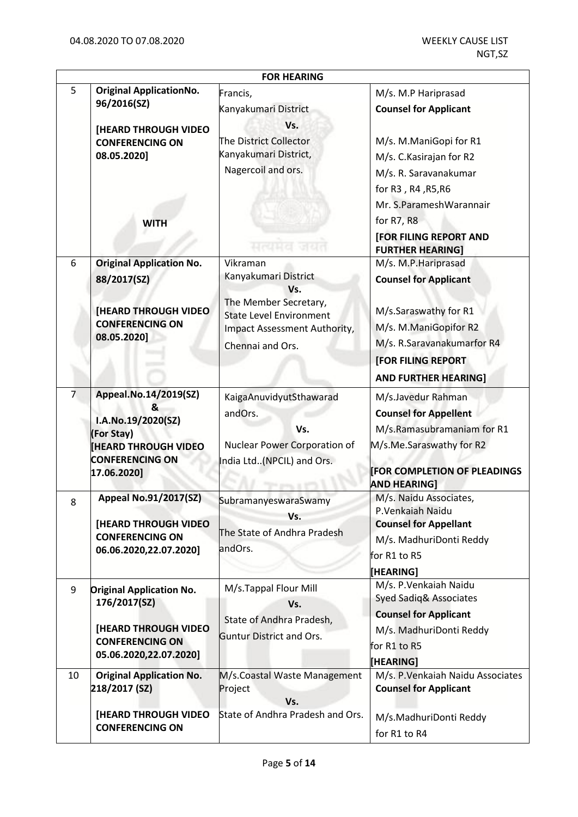|                | <b>FOR HEARING</b>                                                                                                                     |                                                                                                                                                        |                                                                                                                                                                                                  |  |
|----------------|----------------------------------------------------------------------------------------------------------------------------------------|--------------------------------------------------------------------------------------------------------------------------------------------------------|--------------------------------------------------------------------------------------------------------------------------------------------------------------------------------------------------|--|
| 5              | <b>Original ApplicationNo.</b><br>96/2016(SZ)<br><b>[HEARD THROUGH VIDEO</b><br><b>CONFERENCING ON</b><br>08.05.2020]                  | Francis,<br>Kanyakumari District<br>Vs.<br>The District Collector<br>Kanyakumari District,<br>Nagercoil and ors.                                       | M/s. M.P Hariprasad<br><b>Counsel for Applicant</b><br>M/s. M.ManiGopi for R1<br>M/s. C. Kasirajan for R2<br>M/s. R. Saravanakumar<br>for R3, R4, R5, R6                                         |  |
|                | <b>WITH</b>                                                                                                                            | मत्यमय जयत                                                                                                                                             | Mr. S.ParameshWarannair<br>for R7, R8<br><b>[FOR FILING REPORT AND</b><br><b>FURTHER HEARING]</b>                                                                                                |  |
| 6              | <b>Original Application No.</b><br>88/2017(SZ)<br><b>[HEARD THROUGH VIDEO</b><br><b>CONFERENCING ON</b><br>08.05.2020]                 | Vikraman<br>Kanyakumari District<br>Vs.<br>The Member Secretary,<br><b>State Level Environment</b><br>Impact Assessment Authority,<br>Chennai and Ors. | M/s. M.P. Hariprasad<br><b>Counsel for Applicant</b><br>M/s.Saraswathy for R1<br>M/s. M.ManiGopifor R2<br>M/s. R.Saravanakumarfor R4<br><b>[FOR FILING REPORT</b><br><b>AND FURTHER HEARING]</b> |  |
| $\overline{7}$ | Appeal.No.14/2019(SZ)<br>&<br>I.A.No.19/2020(SZ)<br>(For Stay)<br><b>[HEARD THROUGH VIDEO</b><br><b>CONFERENCING ON</b><br>17.06.2020] | KaigaAnuvidyutSthawarad<br>andOrs.<br>Vs.<br>Nuclear Power Corporation of<br>India Ltd(NPCIL) and Ors.                                                 | M/s.Javedur Rahman<br><b>Counsel for Appellent</b><br>M/s.Ramasubramaniam for R1<br>M/s.Me.Saraswathy for R2<br><b>FOR COMPLETION OF PLEADINGS</b><br><b>AND HEARING]</b>                        |  |
| 8              | <b>Appeal No.91/2017(SZ)</b><br>[HEARD THROUGH VIDEO<br><b>CONFERENCING ON</b><br>06.06.2020,22.07.2020]                               | <b>SubramanyeswaraSwamy</b><br>Vs.<br>The State of Andhra Pradesh<br>andOrs.                                                                           | M/s. Naidu Associates,<br>P.Venkaiah Naidu<br><b>Counsel for Appellant</b><br>M/s. MadhuriDonti Reddy<br>for R1 to R5<br>[HEARING]                                                               |  |
| 9              | <b>Original Application No.</b><br>176/2017(SZ)<br><b>[HEARD THROUGH VIDEO</b><br><b>CONFERENCING ON</b><br>05.06.2020,22.07.2020]     | M/s.Tappal Flour Mill<br>Vs.<br>State of Andhra Pradesh,<br><b>Guntur District and Ors.</b>                                                            | M/s. P. Venkaiah Naidu<br>Syed Sadiq& Associates<br><b>Counsel for Applicant</b><br>M/s. MadhuriDonti Reddy<br>for R1 to R5<br>[HEARING]                                                         |  |
| 10             | <b>Original Application No.</b><br>218/2017 (SZ)                                                                                       | M/s.Coastal Waste Management<br>Project<br>Vs.                                                                                                         | M/s. P. Venkaiah Naidu Associates<br><b>Counsel for Applicant</b>                                                                                                                                |  |
|                | <b>[HEARD THROUGH VIDEO]</b><br><b>CONFERENCING ON</b>                                                                                 | State of Andhra Pradesh and Ors.                                                                                                                       | M/s.MadhuriDonti Reddy<br>for R1 to R4                                                                                                                                                           |  |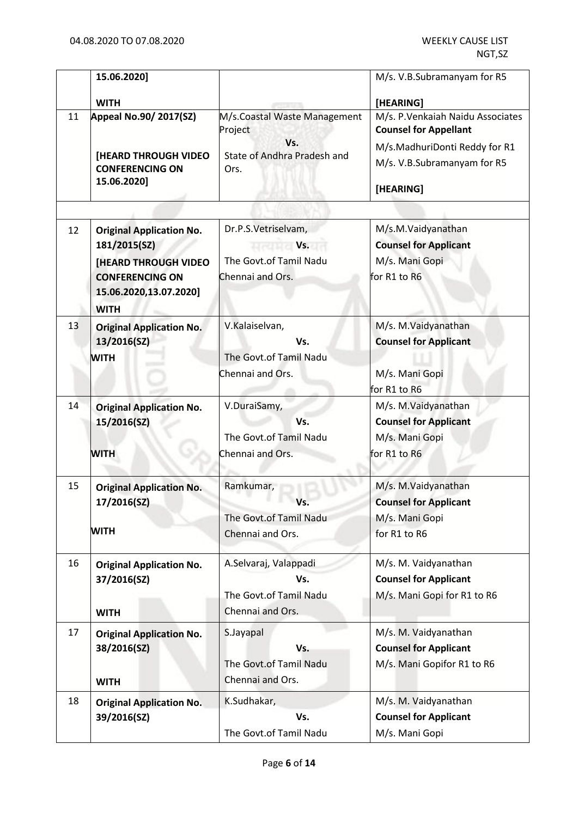|    | 15.06.2020]                                                                                                                                       |                                                                                 | M/s. V.B.Subramanyam for R5                                                                        |
|----|---------------------------------------------------------------------------------------------------------------------------------------------------|---------------------------------------------------------------------------------|----------------------------------------------------------------------------------------------------|
|    | <b>WITH</b>                                                                                                                                       |                                                                                 | [HEARING]                                                                                          |
| 11 | Appeal No.90/ 2017(SZ)                                                                                                                            | M/s.Coastal Waste Management<br>Project<br>Vs.<br>State of Andhra Pradesh and   | M/s. P. Venkaiah Naidu Associates<br><b>Counsel for Appellant</b><br>M/s.MadhuriDonti Reddy for R1 |
|    | <b>[HEARD THROUGH VIDEO</b><br><b>CONFERENCING ON</b><br>15.06.2020]                                                                              | Ors.                                                                            | M/s. V.B.Subramanyam for R5<br>[HEARING]                                                           |
|    |                                                                                                                                                   |                                                                                 |                                                                                                    |
| 12 | <b>Original Application No.</b><br>181/2015(SZ)<br><b>[HEARD THROUGH VIDEO</b><br><b>CONFERENCING ON</b><br>15.06.2020,13.07.2020]<br><b>WITH</b> | Dr.P.S.Vetriselvam,<br><b>Vs.</b><br>The Govt.of Tamil Nadu<br>Chennai and Ors. | M/s.M.Vaidyanathan<br><b>Counsel for Applicant</b><br>M/s. Mani Gopi<br>for R1 to R6               |
| 13 | <b>Original Application No.</b><br>13/2016(SZ)<br><b>WITH</b>                                                                                     | V.Kalaiselvan,<br>Vs.<br>The Govt.of Tamil Nadu<br>Chennai and Ors.             | M/s. M.Vaidyanathan<br><b>Counsel for Applicant</b><br>M/s. Mani Gopi<br>for R1 to R6              |
| 14 | <b>Original Application No.</b><br>15/2016(SZ)<br><b>WITH</b>                                                                                     | V.DuraiSamy,<br>Vs.<br>The Govt.of Tamil Nadu<br>Chennai and Ors.               | M/s. M.Vaidyanathan<br><b>Counsel for Applicant</b><br>M/s. Mani Gopi<br>for R1 to R6              |
| 15 | <b>Original Application No.</b><br>17/2016(SZ)<br><b>WITH</b>                                                                                     | Ramkumar,<br>The Govt.of Tamil Nadu<br>Chennai and Ors.                         | M/s. M.Vaidyanathan<br><b>Counsel for Applicant</b><br>M/s. Mani Gopi<br>for R1 to R6              |
| 16 | <b>Original Application No.</b><br>37/2016(SZ)<br><b>WITH</b>                                                                                     | A.Selvaraj, Valappadi<br>Vs.<br>The Govt.of Tamil Nadu<br>Chennai and Ors.      | M/s. M. Vaidyanathan<br><b>Counsel for Applicant</b><br>M/s. Mani Gopi for R1 to R6                |
| 17 | <b>Original Application No.</b><br>38/2016(SZ)<br><b>WITH</b>                                                                                     | S.Jayapal<br>Vs.<br>The Govt.of Tamil Nadu<br>Chennai and Ors.                  | M/s. M. Vaidyanathan<br><b>Counsel for Applicant</b><br>M/s. Mani Gopifor R1 to R6                 |
| 18 | <b>Original Application No.</b><br>39/2016(SZ)                                                                                                    | K.Sudhakar,<br>Vs.<br>The Govt.of Tamil Nadu                                    | M/s. M. Vaidyanathan<br><b>Counsel for Applicant</b><br>M/s. Mani Gopi                             |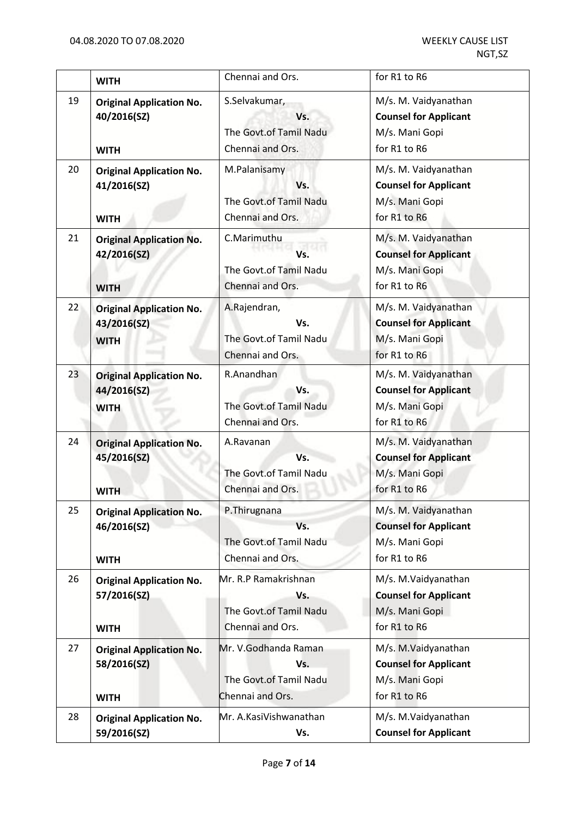|    | <b>WITH</b>                                                   | Chennai and Ors.                                                          | for R1 to R6                                                                           |
|----|---------------------------------------------------------------|---------------------------------------------------------------------------|----------------------------------------------------------------------------------------|
| 19 | <b>Original Application No.</b><br>40/2016(SZ)<br><b>WITH</b> | S.Selvakumar,<br>Vs.<br>The Govt.of Tamil Nadu<br>Chennai and Ors.        | M/s. M. Vaidyanathan<br><b>Counsel for Applicant</b><br>M/s. Mani Gopi<br>for R1 to R6 |
| 20 | <b>Original Application No.</b><br>41/2016(SZ)<br><b>WITH</b> | M.Palanisamy<br>Vs.<br>The Govt.of Tamil Nadu<br>Chennai and Ors.         | M/s. M. Vaidyanathan<br><b>Counsel for Applicant</b><br>M/s. Mani Gopi<br>for R1 to R6 |
| 21 | <b>Original Application No.</b><br>42/2016(SZ)<br><b>WITH</b> | C.Marimuthu<br>Vs.<br>The Govt.of Tamil Nadu<br>Chennai and Ors.          | M/s. M. Vaidyanathan<br><b>Counsel for Applicant</b><br>M/s. Mani Gopi<br>for R1 to R6 |
| 22 | <b>Original Application No.</b><br>43/2016(SZ)<br><b>WITH</b> | A.Rajendran,<br>Vs.<br>The Govt.of Tamil Nadu<br>Chennai and Ors.         | M/s. M. Vaidyanathan<br><b>Counsel for Applicant</b><br>M/s. Mani Gopi<br>for R1 to R6 |
| 23 | <b>Original Application No.</b><br>44/2016(SZ)<br><b>WITH</b> | R.Anandhan<br>Vs.<br>The Govt.of Tamil Nadu<br>Chennai and Ors.           | M/s. M. Vaidyanathan<br><b>Counsel for Applicant</b><br>M/s. Mani Gopi<br>for R1 to R6 |
| 24 | <b>Original Application No.</b><br>45/2016(SZ)<br><b>WITH</b> | A.Ravanan<br>Vs.<br>The Govt.of Tamil Nadu<br>Chennai and Ors.            | M/s. M. Vaidyanathan<br><b>Counsel for Applicant</b><br>M/s. Mani Gopi<br>for R1 to R6 |
| 25 | <b>Original Application No.</b><br>46/2016(SZ)<br><b>WITH</b> | P.Thirugnana<br>Vs.<br>The Govt.of Tamil Nadu<br>Chennai and Ors.         | M/s. M. Vaidyanathan<br><b>Counsel for Applicant</b><br>M/s. Mani Gopi<br>for R1 to R6 |
| 26 | <b>Original Application No.</b><br>57/2016(SZ)<br><b>WITH</b> | Mr. R.P Ramakrishnan<br>Vs.<br>The Govt.of Tamil Nadu<br>Chennai and Ors. | M/s. M.Vaidyanathan<br><b>Counsel for Applicant</b><br>M/s. Mani Gopi<br>for R1 to R6  |
| 27 | <b>Original Application No.</b><br>58/2016(SZ)<br><b>WITH</b> | Mr. V.Godhanda Raman<br>Vs.<br>The Govt.of Tamil Nadu<br>Chennai and Ors. | M/s. M.Vaidyanathan<br><b>Counsel for Applicant</b><br>M/s. Mani Gopi<br>for R1 to R6  |
| 28 | <b>Original Application No.</b><br>59/2016(SZ)                | Mr. A.KasiVishwanathan<br>Vs.                                             | M/s. M.Vaidyanathan<br><b>Counsel for Applicant</b>                                    |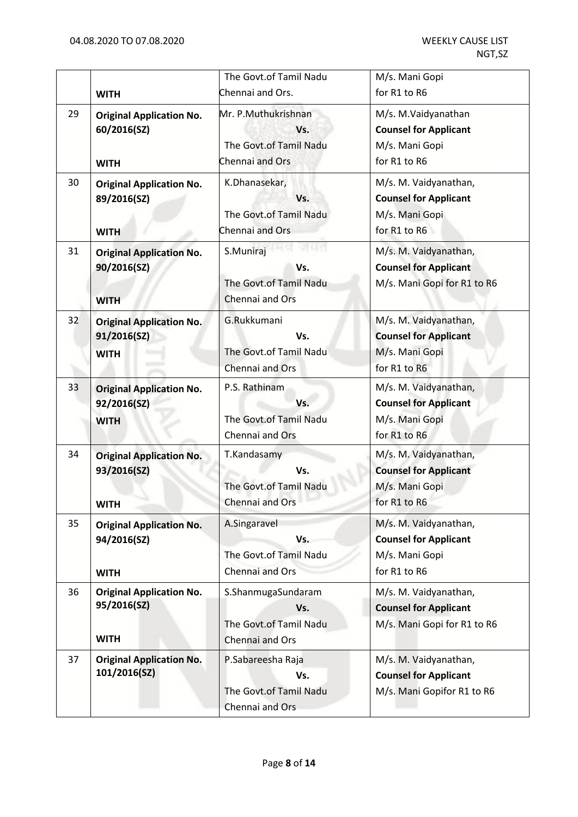|    | <b>WITH</b>                                                   | The Govt.of Tamil Nadu<br>Chennai and Ors.                              | M/s. Mani Gopi<br>for R1 to R6                                                          |
|----|---------------------------------------------------------------|-------------------------------------------------------------------------|-----------------------------------------------------------------------------------------|
| 29 | <b>Original Application No.</b><br>60/2016(SZ)<br><b>WITH</b> | Mr. P.Muthukrishnan<br>Vs.<br>The Govt.of Tamil Nadu<br>Chennai and Ors | M/s. M.Vaidyanathan<br><b>Counsel for Applicant</b><br>M/s. Mani Gopi<br>for R1 to R6   |
| 30 | <b>Original Application No.</b><br>89/2016(SZ)<br><b>WITH</b> | K.Dhanasekar,<br>Vs.<br>The Govt.of Tamil Nadu<br>Chennai and Ors       | M/s. M. Vaidyanathan,<br><b>Counsel for Applicant</b><br>M/s. Mani Gopi<br>for R1 to R6 |
| 31 | <b>Original Application No.</b><br>90/2016(SZ)<br><b>WITH</b> | S.Muniraj<br>Vs.<br>The Govt.of Tamil Nadu<br>Chennai and Ors           | M/s. M. Vaidyanathan,<br><b>Counsel for Applicant</b><br>M/s. Mani Gopi for R1 to R6    |
| 32 | <b>Original Application No.</b><br>91/2016(SZ)<br><b>WITH</b> | G.Rukkumani<br>Vs.<br>The Govt.of Tamil Nadu<br>Chennai and Ors         | M/s. M. Vaidyanathan,<br><b>Counsel for Applicant</b><br>M/s. Mani Gopi<br>for R1 to R6 |
| 33 | <b>Original Application No.</b><br>92/2016(SZ)<br><b>WITH</b> | P.S. Rathinam<br>Vs.<br>The Govt.of Tamil Nadu<br>Chennai and Ors       | M/s. M. Vaidyanathan,<br><b>Counsel for Applicant</b><br>M/s. Mani Gopi<br>for R1 to R6 |
| 34 | <b>Original Application No.</b><br>93/2016(SZ)<br><b>WITH</b> | T.Kandasamy<br>Vs.<br>The Govt.of Tamil Nadu<br>Chennai and Ors         | M/s. M. Vaidyanathan,<br><b>Counsel for Applicant</b><br>M/s. Mani Gopi<br>for R1 to R6 |
| 35 | <b>Original Application No.</b><br>94/2016(SZ)<br><b>WITH</b> | A.Singaravel<br>Vs.<br>The Govt.of Tamil Nadu<br>Chennai and Ors        | M/s. M. Vaidyanathan,<br><b>Counsel for Applicant</b><br>M/s. Mani Gopi<br>for R1 to R6 |
| 36 | <b>Original Application No.</b><br>95/2016(SZ)<br><b>WITH</b> | S.ShanmugaSundaram<br>Vs.<br>The Govt.of Tamil Nadu<br>Chennai and Ors  | M/s. M. Vaidyanathan,<br><b>Counsel for Applicant</b><br>M/s. Mani Gopi for R1 to R6    |
| 37 | <b>Original Application No.</b><br>101/2016(SZ)               | P.Sabareesha Raja<br>Vs.<br>The Govt.of Tamil Nadu<br>Chennai and Ors   | M/s. M. Vaidyanathan,<br><b>Counsel for Applicant</b><br>M/s. Mani Gopifor R1 to R6     |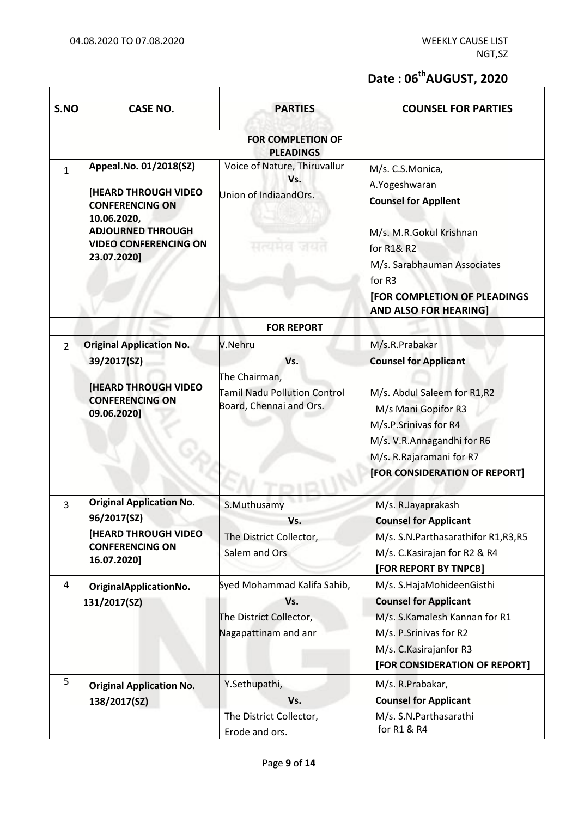$\overline{1}$ 

 $\top$ 

# **Date : 06thAUGUST, 2020**

| S.NO           | <b>CASE NO.</b>                                                                                                                                                           | <b>PARTIES</b>                                                                                    | <b>COUNSEL FOR PARTIES</b>                                                                                                                                                                                               |
|----------------|---------------------------------------------------------------------------------------------------------------------------------------------------------------------------|---------------------------------------------------------------------------------------------------|--------------------------------------------------------------------------------------------------------------------------------------------------------------------------------------------------------------------------|
|                |                                                                                                                                                                           | <b>FOR COMPLETION OF</b><br><b>PLEADINGS</b>                                                      |                                                                                                                                                                                                                          |
| $\mathbf{1}$   | Appeal.No. 01/2018(SZ)<br><b>[HEARD THROUGH VIDEO</b><br><b>CONFERENCING ON</b><br>10.06.2020,<br><b>ADJOURNED THROUGH</b><br><b>VIDEO CONFERENCING ON</b><br>23.07.2020] | Voice of Nature, Thiruvallur<br>Vs.<br>Union of IndiaandOrs.<br>मत्यमत                            | M/s. C.S.Monica,<br>A.Yogeshwaran<br><b>Counsel for Appllent</b><br>M/s. M.R.Gokul Krishnan<br>for R1& R2<br>M/s. Sarabhauman Associates<br>for R3<br><b>FOR COMPLETION OF PLEADINGS</b><br><b>AND ALSO FOR HEARING]</b> |
|                |                                                                                                                                                                           | <b>FOR REPORT</b>                                                                                 |                                                                                                                                                                                                                          |
| $\overline{2}$ | <b>Original Application No.</b><br>39/2017(SZ)<br><b>[HEARD THROUGH VIDEO</b><br><b>CONFERENCING ON</b><br>09.06.2020]                                                    | V.Nehru<br>Vs.<br>The Chairman,<br><b>Tamil Nadu Pollution Control</b><br>Board, Chennai and Ors. | M/s.R.Prabakar<br><b>Counsel for Applicant</b><br>M/s. Abdul Saleem for R1,R2<br>M/s Mani Gopifor R3<br>M/s.P.Srinivas for R4<br>M/s. V.R.Annagandhi for R6<br>M/s. R.Rajaramani for R7<br>[FOR CONSIDERATION OF REPORT] |
| $\overline{3}$ | <b>Original Application No.</b><br>96/2017(SZ)<br><b>[HEARD THROUGH VIDEO</b><br><b>CONFERENCING ON</b><br>16.07.2020]                                                    | S.Muthusamy<br>Vs.<br>The District Collector,<br>Salem and Ors                                    | M/s. R.Jayaprakash<br><b>Counsel for Applicant</b><br>M/s. S.N.Parthasarathifor R1,R3,R5<br>M/s. C. Kasirajan for R2 & R4<br>[FOR REPORT BY TNPCB]                                                                       |
| $\overline{a}$ | OriginalApplicationNo.<br>131/2017(SZ)                                                                                                                                    | Syed Mohammad Kalifa Sahib,<br>Vs.<br>The District Collector,<br>Nagapattinam and anr             | M/s. S.HajaMohideenGisthi<br><b>Counsel for Applicant</b><br>M/s. S.Kamalesh Kannan for R1<br>M/s. P.Srinivas for R2<br>M/s. C. Kasirajanfor R3<br>[FOR CONSIDERATION OF REPORT]                                         |
| 5              | <b>Original Application No.</b><br>138/2017(SZ)                                                                                                                           | Y.Sethupathi,<br>Vs.<br>The District Collector,<br>Erode and ors.                                 | M/s. R.Prabakar,<br><b>Counsel for Applicant</b><br>M/s. S.N. Parthasarathi<br>for R1 & R4                                                                                                                               |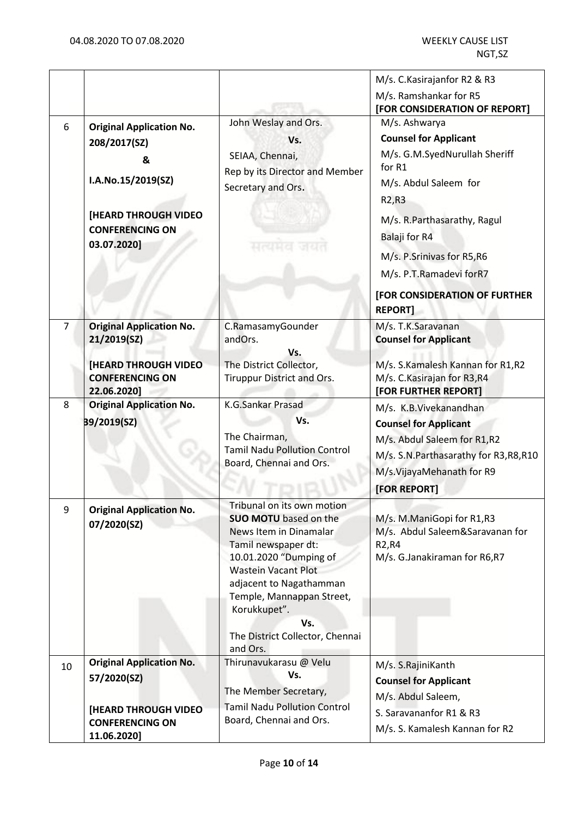|                |                                                                                                                                                    |                                                                                                                                                                                                                                                                                                   | M/s. C. Kasirajanfor R2 & R3                                                                                                                                                                                                                                                                                   |
|----------------|----------------------------------------------------------------------------------------------------------------------------------------------------|---------------------------------------------------------------------------------------------------------------------------------------------------------------------------------------------------------------------------------------------------------------------------------------------------|----------------------------------------------------------------------------------------------------------------------------------------------------------------------------------------------------------------------------------------------------------------------------------------------------------------|
|                |                                                                                                                                                    |                                                                                                                                                                                                                                                                                                   | M/s. Ramshankar for R5<br>[FOR CONSIDERATION OF REPORT]                                                                                                                                                                                                                                                        |
| 6              | <b>Original Application No.</b><br>208/2017(SZ)<br>&<br>I.A.No.15/2019(SZ)<br><b>[HEARD THROUGH VIDEO</b><br><b>CONFERENCING ON</b><br>03.07.2020] | John Weslay and Ors.<br>Vs.<br>SEIAA, Chennai,<br>Rep by its Director and Member<br>Secretary and Ors.<br>出版社社会                                                                                                                                                                                   | M/s. Ashwarya<br><b>Counsel for Applicant</b><br>M/s. G.M.SyedNurullah Sheriff<br>for R1<br>M/s. Abdul Saleem for<br>R <sub>2</sub> ,R <sub>3</sub><br>M/s. R.Parthasarathy, Ragul<br>Balaji for R4<br>M/s. P.Srinivas for R5,R6<br>M/s. P.T.Ramadevi forR7<br>[FOR CONSIDERATION OF FURTHER<br><b>REPORT]</b> |
| $\overline{7}$ | <b>Original Application No.</b><br>21/2019(SZ)<br><b>[HEARD THROUGH VIDEO</b><br><b>CONFERENCING ON</b>                                            | C.RamasamyGounder<br>andOrs.<br>Vs.<br>The District Collector,<br>Tiruppur District and Ors.                                                                                                                                                                                                      | M/s. T.K.Saravanan<br><b>Counsel for Applicant</b><br>M/s. S.Kamalesh Kannan for R1,R2<br>M/s. C. Kasirajan for R3, R4                                                                                                                                                                                         |
|                | 22.06.2020]                                                                                                                                        |                                                                                                                                                                                                                                                                                                   | [FOR FURTHER REPORT]                                                                                                                                                                                                                                                                                           |
| 8              | <b>Original Application No.</b><br>39/2019(SZ)                                                                                                     | <b>K.G.Sankar Prasad</b><br>Vs.<br>The Chairman,<br><b>Tamil Nadu Pollution Control</b><br>Board, Chennai and Ors.                                                                                                                                                                                | M/s. K.B.Vivekanandhan<br><b>Counsel for Applicant</b><br>M/s. Abdul Saleem for R1,R2<br>M/s. S.N.Parthasarathy for R3,R8,R10<br>M/s.VijayaMehanath for R9<br>[FOR REPORT]                                                                                                                                     |
| 9              | <b>Original Application No.</b><br>07/2020(SZ)                                                                                                     | Tribunal on its own motion<br><b>SUO MOTU</b> based on the<br>News Item in Dinamalar<br>Tamil newspaper dt:<br>10.01.2020 "Dumping of<br><b>Wastein Vacant Plot</b><br>adjacent to Nagathamman<br>Temple, Mannappan Street,<br>Korukkupet".<br>Vs.<br>The District Collector, Chennai<br>and Ors. | M/s. M.ManiGopi for R1,R3<br>M/s. Abdul Saleem&Saravanan for<br>R <sub>2</sub> ,R <sub>4</sub><br>M/s. G.Janakiraman for R6,R7                                                                                                                                                                                 |
| 10             | <b>Original Application No.</b>                                                                                                                    | Thirunavukarasu @ Velu<br>Vs.                                                                                                                                                                                                                                                                     | M/s. S.RajiniKanth                                                                                                                                                                                                                                                                                             |
|                | 57/2020(SZ)                                                                                                                                        | The Member Secretary,                                                                                                                                                                                                                                                                             | <b>Counsel for Applicant</b><br>M/s. Abdul Saleem,                                                                                                                                                                                                                                                             |
|                | <b>[HEARD THROUGH VIDEO]</b><br><b>CONFERENCING ON</b><br>11.06.2020]                                                                              | <b>Tamil Nadu Pollution Control</b><br>Board, Chennai and Ors.                                                                                                                                                                                                                                    | S. Saravananfor R1 & R3<br>M/s. S. Kamalesh Kannan for R2                                                                                                                                                                                                                                                      |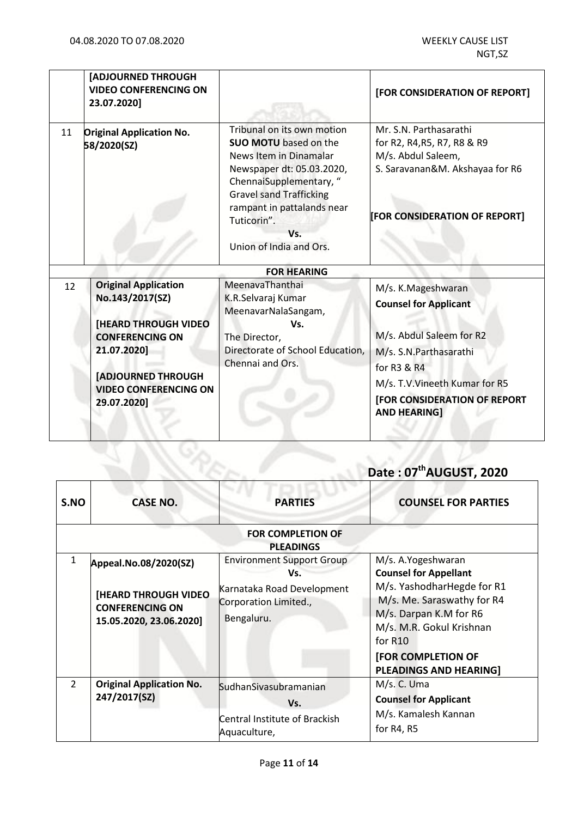|    | [ADJOURNED THROUGH<br><b>VIDEO CONFERENCING ON</b><br>23.07.2020]                                                                                                                                  |                                                                                                                                                                                                                                                               | [FOR CONSIDERATION OF REPORT]                                                                                                                                                                                    |
|----|----------------------------------------------------------------------------------------------------------------------------------------------------------------------------------------------------|---------------------------------------------------------------------------------------------------------------------------------------------------------------------------------------------------------------------------------------------------------------|------------------------------------------------------------------------------------------------------------------------------------------------------------------------------------------------------------------|
| 11 | <b>Original Application No.</b><br>58/2020(SZ)                                                                                                                                                     | Tribunal on its own motion<br><b>SUO MOTU</b> based on the<br>News Item in Dinamalar<br>Newspaper dt: 05.03.2020,<br>ChennaiSupplementary, "<br><b>Gravel sand Trafficking</b><br>rampant in pattalands near<br>Tuticorin".<br>Vs.<br>Union of India and Ors. | Mr. S.N. Parthasarathi<br>for R2, R4, R5, R7, R8 & R9<br>M/s. Abdul Saleem,<br>S. Saravanan&M. Akshayaa for R6<br>[FOR CONSIDERATION OF REPORT]                                                                  |
|    |                                                                                                                                                                                                    | <b>FOR HEARING</b>                                                                                                                                                                                                                                            |                                                                                                                                                                                                                  |
| 12 | <b>Original Application</b><br>No.143/2017(SZ)<br><b>[HEARD THROUGH VIDEO</b><br><b>CONFERENCING ON</b><br>21.07.2020]<br><b>[ADJOURNED THROUGH</b><br><b>VIDEO CONFERENCING ON</b><br>29.07.2020] | MeenavaThanthai<br>K.R.Selvaraj Kumar<br>MeenavarNalaSangam,<br>Vs.<br>The Director,<br>Directorate of School Education,<br>Chennai and Ors.                                                                                                                  | M/s. K.Mageshwaran<br><b>Counsel for Applicant</b><br>M/s. Abdul Saleem for R2<br>M/s. S.N.Parthasarathi<br>for R3 & R4<br>M/s. T.V. Vineeth Kumar for R5<br>[FOR CONSIDERATION OF REPORT<br><b>AND HEARING]</b> |

## **Date : 07 thAUGUST, 2020**

| S.NO           | <b>CASE NO.</b>                                                                                           | <b>PARTIES</b>                                                                                               | <b>COUNSEL FOR PARTIES</b>                                                                                                                                                                                                              |
|----------------|-----------------------------------------------------------------------------------------------------------|--------------------------------------------------------------------------------------------------------------|-----------------------------------------------------------------------------------------------------------------------------------------------------------------------------------------------------------------------------------------|
|                |                                                                                                           | <b>FOR COMPLETION OF</b><br><b>PLEADINGS</b>                                                                 |                                                                                                                                                                                                                                         |
| 1              | Appeal.No.08/2020(SZ)<br><b>[HEARD THROUGH VIDEO</b><br><b>CONFERENCING ON</b><br>15.05.2020, 23.06.2020] | <b>Environment Support Group</b><br>Vs.<br>Karnataka Road Development<br>Corporation Limited.,<br>Bengaluru. | M/s. A. Yogeshwaran<br><b>Counsel for Appellant</b><br>M/s. YashodharHegde for R1<br>M/s. Me. Saraswathy for R4<br>M/s. Darpan K.M for R6<br>M/s. M.R. Gokul Krishnan<br>for R10<br>[FOR COMPLETION OF<br><b>PLEADINGS AND HEARING]</b> |
| $\overline{2}$ | <b>Original Application No.</b><br>247/2017(SZ)                                                           | SudhanSivasubramanian<br>Vs.<br>Central Institute of Brackish<br>Aquaculture,                                | M/s. C. Uma<br><b>Counsel for Applicant</b><br>M/s. Kamalesh Kannan<br>for $R4, R5$                                                                                                                                                     |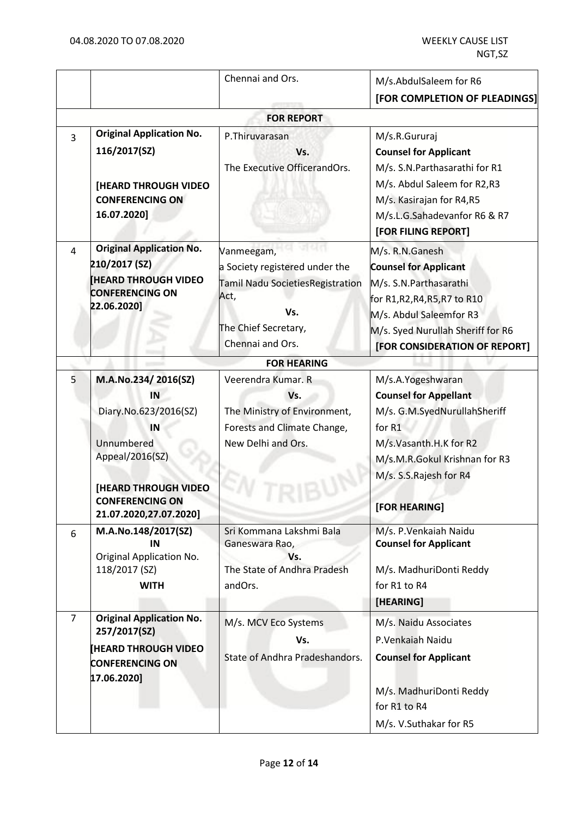|                |                                                                                                                                                                              | Chennai and Ors.                                                                                                                            | M/s.AbdulSaleem for R6                                                                                                                                                                                   |
|----------------|------------------------------------------------------------------------------------------------------------------------------------------------------------------------------|---------------------------------------------------------------------------------------------------------------------------------------------|----------------------------------------------------------------------------------------------------------------------------------------------------------------------------------------------------------|
|                |                                                                                                                                                                              |                                                                                                                                             | [FOR COMPLETION OF PLEADINGS]                                                                                                                                                                            |
|                |                                                                                                                                                                              | <b>FOR REPORT</b>                                                                                                                           |                                                                                                                                                                                                          |
| $\overline{3}$ | <b>Original Application No.</b><br>116/2017(SZ)<br><b>[HEARD THROUGH VIDEO</b><br><b>CONFERENCING ON</b><br>16.07.2020]                                                      | P.Thiruvarasan<br>Vs.<br>The Executive OfficerandOrs.                                                                                       | M/s.R.Gururaj<br><b>Counsel for Applicant</b><br>M/s. S.N.Parthasarathi for R1<br>M/s. Abdul Saleem for R2,R3<br>M/s. Kasirajan for R4,R5<br>M/s.L.G.Sahadevanfor R6 & R7<br>[FOR FILING REPORT]         |
| 4              | <b>Original Application No.</b><br>210/2017 (SZ)<br><b>HEARD THROUGH VIDEO</b><br><b>CONFERENCING ON</b><br>22.06.2020]                                                      | Vanmeegam,<br>a Society registered under the<br>Tamil Nadu SocietiesRegistration<br>Act,<br>Vs.<br>The Chief Secretary,<br>Chennai and Ors. | M/s. R.N.Ganesh<br><b>Counsel for Applicant</b><br>M/s. S.N. Parthasarathi<br>for R1,R2,R4,R5,R7 to R10<br>M/s. Abdul Saleemfor R3<br>M/s. Syed Nurullah Sheriff for R6<br>[FOR CONSIDERATION OF REPORT] |
|                |                                                                                                                                                                              | <b>FOR HEARING</b>                                                                                                                          |                                                                                                                                                                                                          |
| 5              | M.A.No.234/2016(SZ)<br>IN<br>Diary.No.623/2016(SZ)<br>IN<br>Unnumbered<br>Appeal/2016(SZ)<br><b>[HEARD THROUGH VIDEO</b><br><b>CONFERENCING ON</b><br>21.07.2020,27.07.2020] | Veerendra Kumar. R<br>Vs.<br>The Ministry of Environment,<br>Forests and Climate Change,<br>New Delhi and Ors.                              | M/s.A.Yogeshwaran<br><b>Counsel for Appellant</b><br>M/s. G.M.SyedNurullahSheriff<br>for R1<br>M/s.Vasanth.H.K for R2<br>M/s.M.R.Gokul Krishnan for R3<br>M/s. S.S.Rajesh for R4<br>[FOR HEARING]        |
| 6              | M.A.No.148/2017(SZ)<br>IN<br>Original Application No.<br>118/2017 (SZ)<br><b>WITH</b>                                                                                        | Sri Kommana Lakshmi Bala<br>Ganeswara Rao,<br>Vs.<br>The State of Andhra Pradesh<br>andOrs.                                                 | M/s. P. Venkaiah Naidu<br><b>Counsel for Applicant</b><br>M/s. MadhuriDonti Reddy<br>for R1 to R4<br>[HEARING]                                                                                           |
| $\overline{7}$ | <b>Original Application No.</b><br>257/2017(SZ)<br><b>HEARD THROUGH VIDEO</b><br><b>CONFERENCING ON</b><br>17.06.2020]                                                       | M/s. MCV Eco Systems<br>Vs.<br>State of Andhra Pradeshandors.                                                                               | M/s. Naidu Associates<br>P.Venkaiah Naidu<br><b>Counsel for Applicant</b><br>M/s. MadhuriDonti Reddy<br>for R1 to R4<br>M/s. V.Suthakar for R5                                                           |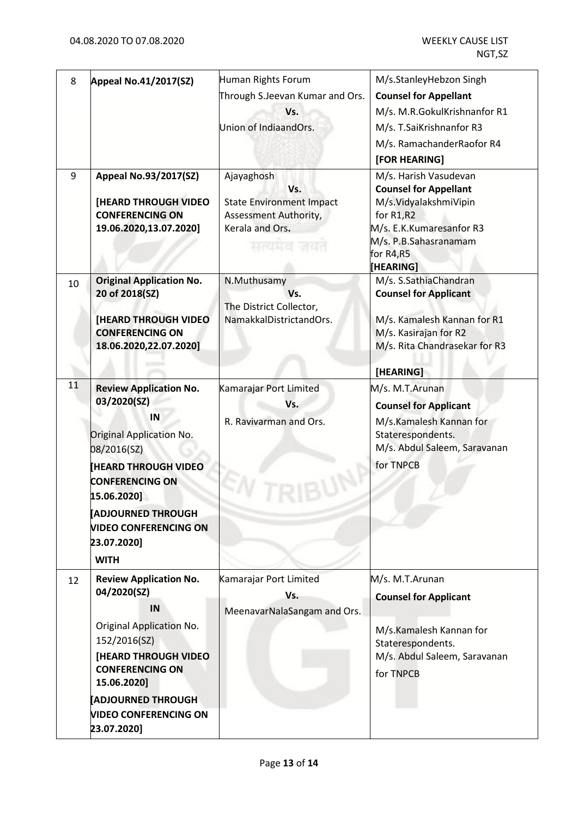| 8  | <b>Appeal No.41/2017(SZ)</b>                                                                                                                                                                                                                                          | Human Rights Forum<br>Through S.Jeevan Kumar and Ors.<br>Vs.<br>Union of IndiaandOrs.                          | M/s.StanleyHebzon Singh<br><b>Counsel for Appellant</b><br>M/s. M.R.GokulKrishnanfor R1<br>M/s. T.SaiKrishnanfor R3<br>M/s. RamachanderRaofor R4<br>[FOR HEARING]             |
|----|-----------------------------------------------------------------------------------------------------------------------------------------------------------------------------------------------------------------------------------------------------------------------|----------------------------------------------------------------------------------------------------------------|-------------------------------------------------------------------------------------------------------------------------------------------------------------------------------|
| 9  | Appeal No.93/2017(SZ)<br><b>[HEARD THROUGH VIDEO</b><br><b>CONFERENCING ON</b><br>19.06.2020,13.07.2020]                                                                                                                                                              | Ajayaghosh<br>Vs.<br><b>State Environment Impact</b><br>Assessment Authority,<br>Kerala and Ors.<br>सत्यमय जया | M/s. Harish Vasudevan<br><b>Counsel for Appellant</b><br>M/s.VidyalakshmiVipin<br>for $R1, R2$<br>M/s. E.K.Kumaresanfor R3<br>M/s. P.B.Sahasranamam<br>for R4,R5<br>[HEARING] |
| 10 | <b>Original Application No.</b><br>20 of 2018(SZ)<br><b>[HEARD THROUGH VIDEO</b><br><b>CONFERENCING ON</b><br>18.06.2020,22.07.2020]                                                                                                                                  | N.Muthusamy<br>Vs.<br>The District Collector,<br>NamakkalDistrictandOrs.                                       | M/s. S.SathiaChandran<br><b>Counsel for Applicant</b><br>M/s. Kamalesh Kannan for R1<br>M/s. Kasirajan for R2<br>M/s. Rita Chandrasekar for R3<br>[HEARING]                   |
| 11 | <b>Review Application No.</b><br>03/2020(SZ)<br>IN<br><b>Original Application No.</b><br>08/2016(SZ)<br><b>HEARD THROUGH VIDEO</b><br><b>CONFERENCING ON</b><br>15.06.20201<br><b>ADJOURNED THROUGH</b><br><b>VIDEO CONFERENCING ON</b><br>23.07.2020]<br><b>WITH</b> | Kamarajar Port Limited<br>Vs.<br>R. Ravivarman and Ors.                                                        | M/s. M.T.Arunan<br><b>Counsel for Applicant</b><br>M/s.Kamalesh Kannan for<br>Staterespondents.<br>M/s. Abdul Saleem, Saravanan<br>for TNPCB                                  |
| 12 | <b>Review Application No.</b><br>04/2020(SZ)<br>IN<br>Original Application No.<br>152/2016(SZ)<br><b>[HEARD THROUGH VIDEO</b><br><b>CONFERENCING ON</b><br>15.06.2020]<br><b>ADJOURNED THROUGH</b><br><b>VIDEO CONFERENCING ON</b><br>23.07.2020]                     | Kamarajar Port Limited<br>Vs.<br>MeenavarNalaSangam and Ors.                                                   | M/s. M.T.Arunan<br><b>Counsel for Applicant</b><br>M/s.Kamalesh Kannan for<br>Staterespondents.<br>M/s. Abdul Saleem, Saravanan<br>for TNPCB                                  |